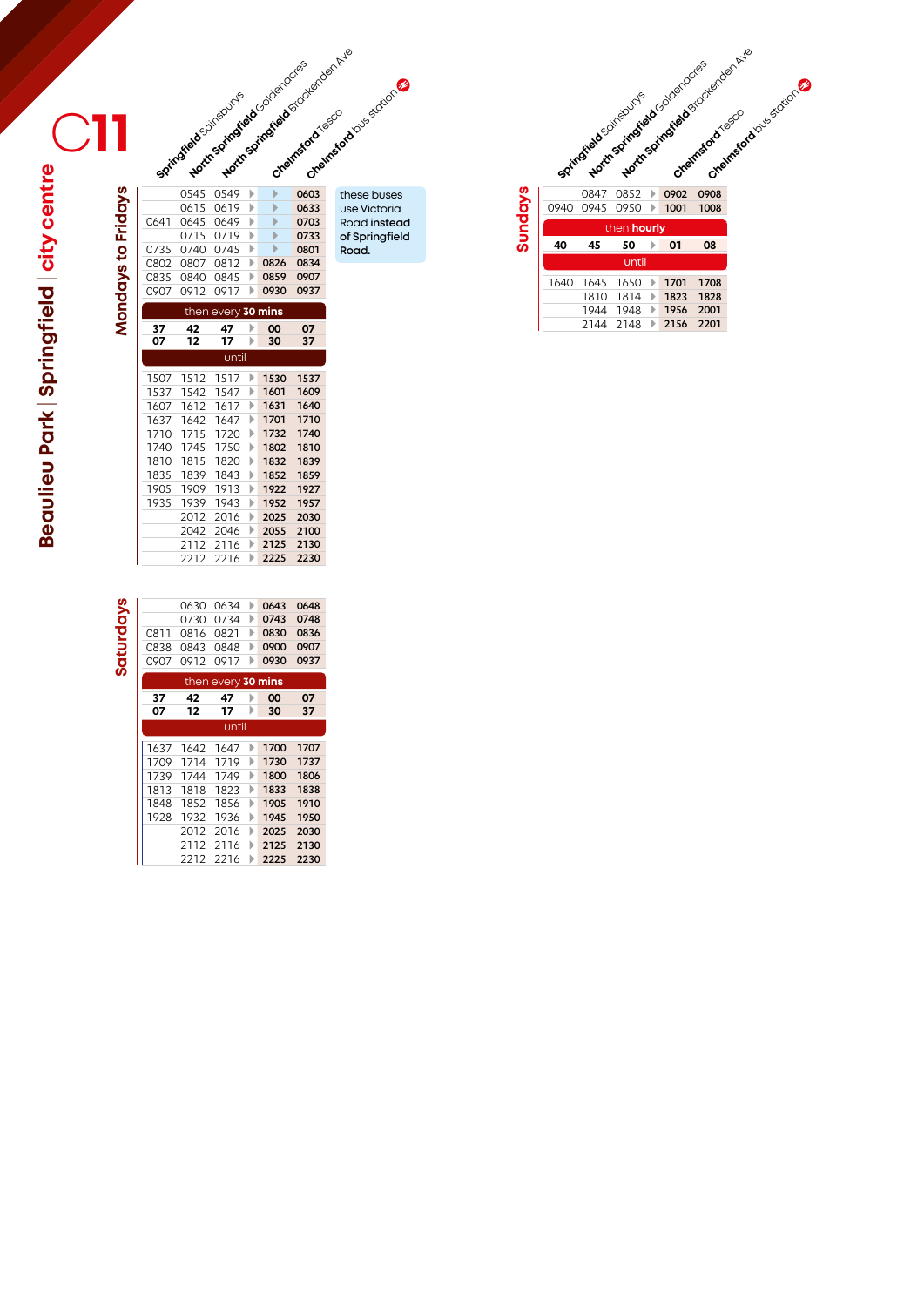**Beaulieu Park** | **Springfield** | **city centre**

**Mondays to Fridays**

Springfield Scinispuris **Beaulieu Park | Springfield | city centre**  $\overline{\phantom{a}}$ Ī

|      | 0615 | 0619               | Þ | Þ    | 0633 |
|------|------|--------------------|---|------|------|
| 0641 | 0645 | 0649               | Ь | ь    | 0703 |
|      | 0715 | 0719               | ь | ь    | 0733 |
| 0735 | 0740 | 0745               | Þ | ь    | 0801 |
| 0802 | 0807 | 0812               | Þ | 0826 | 0834 |
| 0835 | 0840 | 0845               | Þ | 0859 | 0907 |
| 0907 | 0912 | 0917               | Þ | 0930 | 0937 |
|      |      | then every 30 mins |   |      |      |
| 37   | 42   | 47                 | Þ | 00   | 07   |
| 07   | 12   | 17                 | Þ | 30   | 37   |
|      |      | until              |   |      |      |
| 1507 | 1512 | 1517               | Þ | 1530 | 1537 |
| 1537 | 1542 | 1547               | Þ | 1601 | 1609 |
| 1607 | 1612 | 1617               | ь | 1631 | 1640 |
| 1637 | 1642 | 1647               | Þ | 1701 | 1710 |
| 1710 | 1715 | 1720               | Þ | 1732 | 1740 |
| 1740 | 1745 | 1750               | Þ | 1802 | 1810 |
| 1810 | 1815 | 1820               | Þ | 1832 | 1839 |
| 1835 | 1839 | 1843               | Þ | 1852 | 1859 |
| 1905 | 1909 | 1913               | Þ | 1922 | 1927 |
| 1935 | 1939 | 1943               | Þ | 1952 | 1957 |
|      | 2012 | 2016               | Þ | 2025 | 2030 |
|      | 2042 | 2046               | Þ | 2055 | 2100 |
|      | 2112 | 2116               | Þ | 2125 | 2130 |
|      | 2212 | 2216               | Þ | 2225 | 2230 |
|      |      |                    |   |      |      |

0545 0549 0603

North Springfield Creek and Springfield

|           |      | 0630 | 0634               |   | 0643 | 0648 |
|-----------|------|------|--------------------|---|------|------|
|           |      | 0730 | 0734               | Þ | 0743 | 0748 |
|           | 0811 | 0816 | 0821               | ь | 0830 | 0836 |
|           | 0838 | 0843 | 0848               | ь | 0900 | 0907 |
| Saturdays | 0907 | 0912 | 0917               |   | 0930 | 0937 |
|           |      |      | then every 30 mins |   |      |      |
|           | 37   | 42   | 47                 |   | 00   | 07   |
|           | 07   | 12   | 17                 |   | 30   | 37   |
|           |      |      | until              |   |      |      |
|           | 1637 | 1642 | 1647               | ь | 1700 | 1707 |
|           | 1709 | 1714 | 1719               | ь | 1730 | 1737 |
|           | 1739 | 1744 | 1749               |   | 1800 | 1806 |
|           | 1813 | 1818 | 1823               | ь | 1833 | 1838 |
|           | 1848 | 1852 | 1856               | ь | 1905 | 1910 |
|           | 1928 | 1932 | 1936               | ь | 1945 | 1950 |
|           |      | 2012 | 2016               | Þ | 2025 | 2030 |
|           |      | 2112 | 2116               | ь | 2125 | 2130 |
|           |      | 2212 | 2216               |   | 2225 | 2230 |
|           |      |      |                    |   |      |      |

**Chelmsford** bus station these buses use Victoria Road **instead of Springfield Road.**

**Chelmsford** Chelmsk

North Springfield Coleman Ave.

Springfield Scillisburys Lackenden Brand Springfield Avenue Report Chelmsford Ous station 0847 0852 0902 0908 0847 0852 **0902 0908 North Springfield Creek**<br>Martingfield Springfield Creek

| <b>Sundays</b> | 0940 | 0847 | 0852<br>0945 0950 | →<br>$\rightarrow$    | 0902<br>1001 | 0908<br>1008 |
|----------------|------|------|-------------------|-----------------------|--------------|--------------|
|                |      |      | then hourly       |                       |              |              |
|                | 40   | 45   | 50                |                       | 01           | 08           |
|                |      |      | until             |                       |              |              |
|                | 1640 | 1645 | 1650              | $\rightarrow$         | 1701         | 1708         |
|                |      | 1810 | 1814              | $\mathbb{R}$          | 1823         | 1828         |
|                |      | 1944 | 1948              | Þ                     | 1956         | 2001         |
|                |      | 2144 | 2148              | $\blacktriangleright$ | 2156         | 2201         |